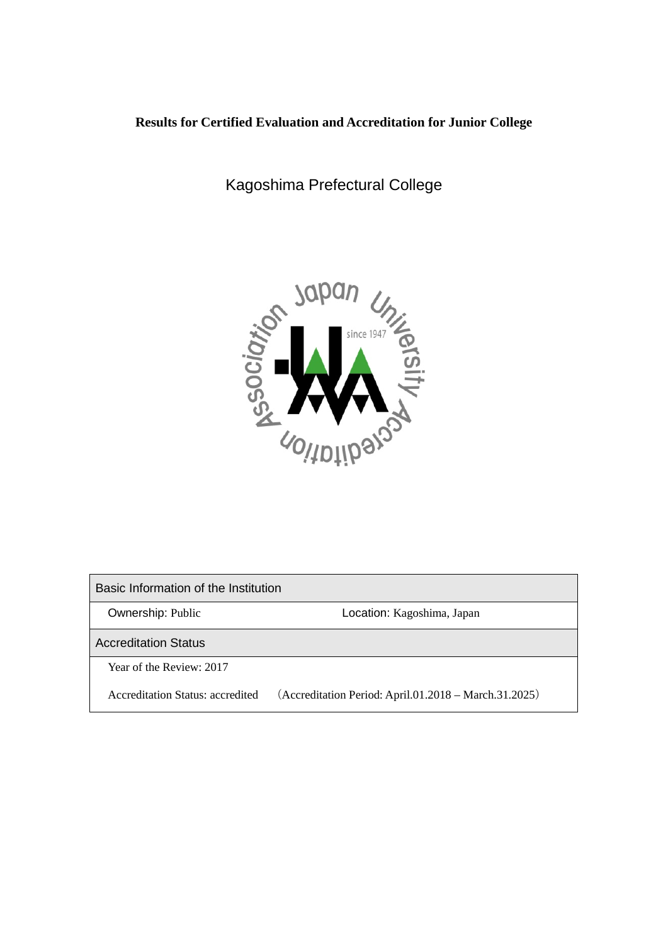# **Results for Certified Evaluation and Accreditation for Junior College**

Kagoshima Prefectural College



Basic Information of the Institution Ownership: Public **Communist Constructs** Location: Kagoshima, Japan Accreditation Status Year of the Review: 2017 Accreditation Status: accredited (Accreditation Period: April.01.2018 – March.31.2025)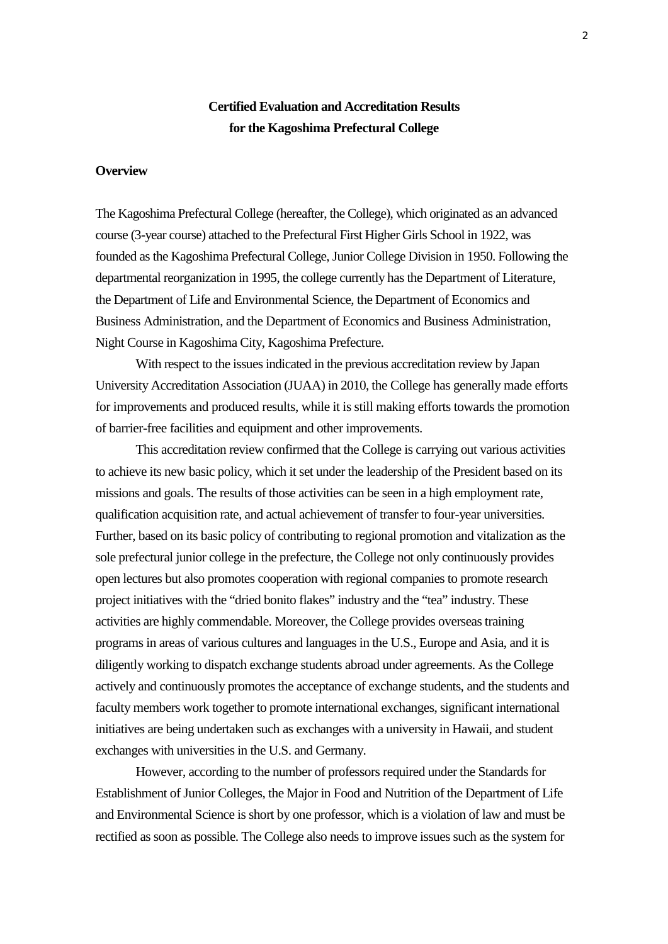# **Certified Evaluation and Accreditation Results for the Kagoshima Prefectural College**

#### **Overview**

The Kagoshima Prefectural College (hereafter, the College), which originated as an advanced course (3-year course) attached to the Prefectural First Higher Girls School in 1922, was founded as the Kagoshima Prefectural College, Junior College Division in 1950. Following the departmental reorganization in 1995, the college currently has the Department of Literature, the Department of Life and Environmental Science, the Department of Economics and Business Administration, and the Department of Economics and Business Administration, Night Course in Kagoshima City, Kagoshima Prefecture.

With respect to the issues indicated in the previous accreditation review by Japan University Accreditation Association (JUAA) in 2010, the College has generally made efforts for improvements and produced results, while it is still making efforts towards the promotion of barrier-free facilities and equipment and other improvements.

This accreditation review confirmed that the College is carrying out various activities to achieve its new basic policy, which it set under the leadership of the President based on its missions and goals. The results of those activities can be seen in a high employment rate, qualification acquisition rate, and actual achievement of transfer to four-year universities. Further, based on its basic policy of contributing to regional promotion and vitalization as the sole prefectural junior college in the prefecture, the College not only continuously provides open lectures but also promotes cooperation with regional companies to promote research project initiatives with the "dried bonito flakes" industry and the "tea" industry. These activities are highly commendable. Moreover, the College provides overseas training programs in areas of various cultures and languages in the U.S., Europe and Asia, and it is diligently working to dispatch exchange students abroad under agreements. As the College actively and continuously promotes the acceptance of exchange students, and the students and faculty members work together to promote international exchanges, significant international initiatives are being undertaken such as exchanges with a university in Hawaii, and student exchanges with universities in the U.S. and Germany.

However, according to the number of professors required under the Standards for Establishment of Junior Colleges, the Major in Food and Nutrition of the Department of Life and Environmental Science is short by one professor, which is a violation of law and must be rectified as soon as possible. The College also needs to improve issues such as the system for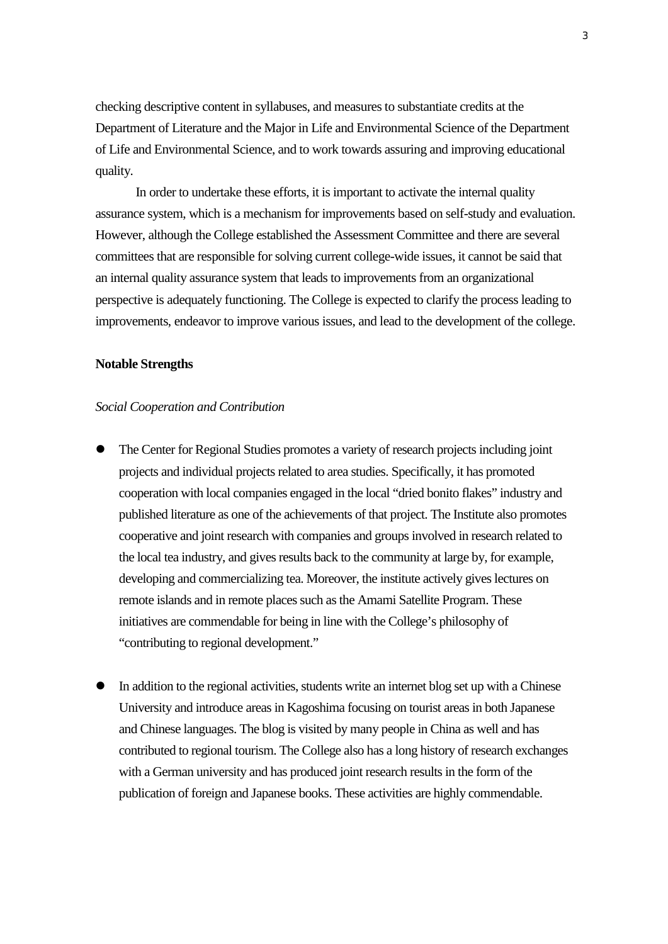checking descriptive content in syllabuses, and measures to substantiate credits at the Department of Literature and the Major in Life and Environmental Science of the Department of Life and Environmental Science, and to work towards assuring and improving educational quality.

In order to undertake these efforts, it is important to activate the internal quality assurance system, which is a mechanism for improvements based on self-study and evaluation. However, although the College established the Assessment Committee and there are several committees that are responsible for solving current college-wide issues, it cannot be said that an internal quality assurance system that leads to improvements from an organizational perspective is adequately functioning. The College is expected to clarify the process leading to improvements, endeavor to improve various issues, and lead to the development of the college.

#### **Notable Strengths**

#### *Social Cooperation and Contribution*

- The Center for Regional Studies promotes a variety of research projects including joint projects and individual projects related to area studies. Specifically, it has promoted cooperation with local companies engaged in the local "dried bonito flakes" industry and published literature as one of the achievements of that project. The Institute also promotes cooperative and joint research with companies and groups involved in research related to the local tea industry, and gives results back to the community at large by, for example, developing and commercializing tea. Moreover, the institute actively gives lectures on remote islands and in remote places such as the Amami Satellite Program. These initiatives are commendable for being in line with the College's philosophy of "contributing to regional development."
- In addition to the regional activities, students write an internet blog set up with a Chinese University and introduce areas in Kagoshima focusing on tourist areas in both Japanese and Chinese languages. The blog is visited by many people in China as well and has contributed to regional tourism. The College also has a long history of research exchanges with a German university and has produced joint research results in the form of the publication of foreign and Japanese books. These activities are highly commendable.